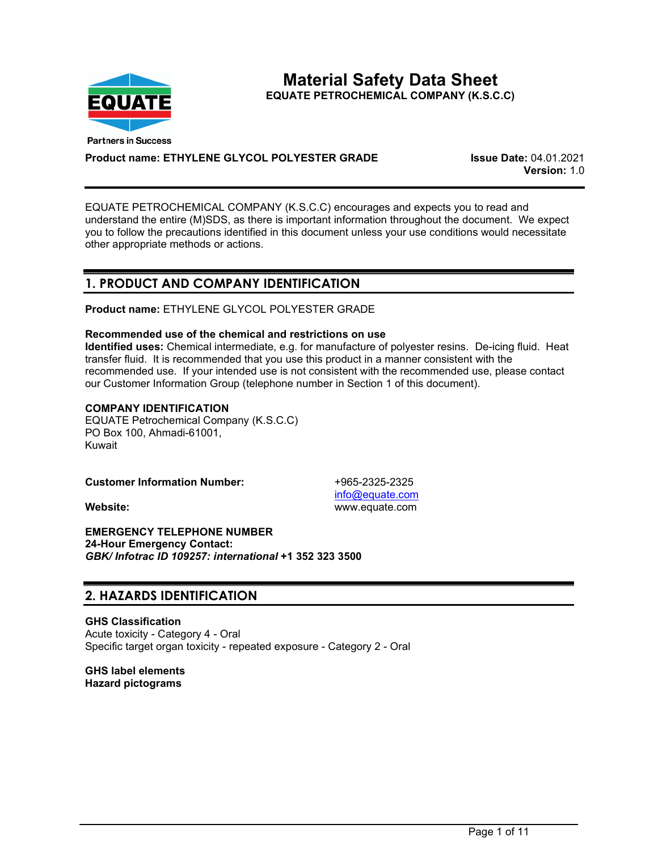

**Material Safety Data Sheet EQUATE PETROCHEMICAL COMPANY (K.S.C.C)** 

**Product name: ETHYLENE GLYCOL POLYESTER GRADE Issue Date:** 04.01.2021

**Version:** 1.0

EQUATE PETROCHEMICAL COMPANY (K.S.C.C) encourages and expects you to read and understand the entire (M)SDS, as there is important information throughout the document. We expect you to follow the precautions identified in this document unless your use conditions would necessitate other appropriate methods or actions.

# **1. PRODUCT AND COMPANY IDENTIFICATION**

**Product name:** ETHYLENE GLYCOL POLYESTER GRADE

## **Recommended use of the chemical and restrictions on use**

**Identified uses:** Chemical intermediate, e.g. for manufacture of polyester resins. De-icing fluid. Heat transfer fluid. It is recommended that you use this product in a manner consistent with the recommended use. If your intended use is not consistent with the recommended use, please contact our Customer Information Group (telephone number in Section 1 of this document).

## **COMPANY IDENTIFICATION**

EQUATE Petrochemical Company (K.S.C.C) PO Box 100, Ahmadi-61001, Kuwait

**Customer Information Number:**  $+965-2325-2325$ 

[info@equate.com](mailto:info@equate.com) **Website:** www.equate.com

**EMERGENCY TELEPHONE NUMBER 24-Hour Emergency Contact:** *GBK/ Infotrac ID 109257: international* **+1 352 323 3500**

# **2. HAZARDS IDENTIFICATION**

**GHS Classification** Acute toxicity - Category 4 - Oral Specific target organ toxicity - repeated exposure - Category 2 - Oral

**GHS label elements Hazard pictograms**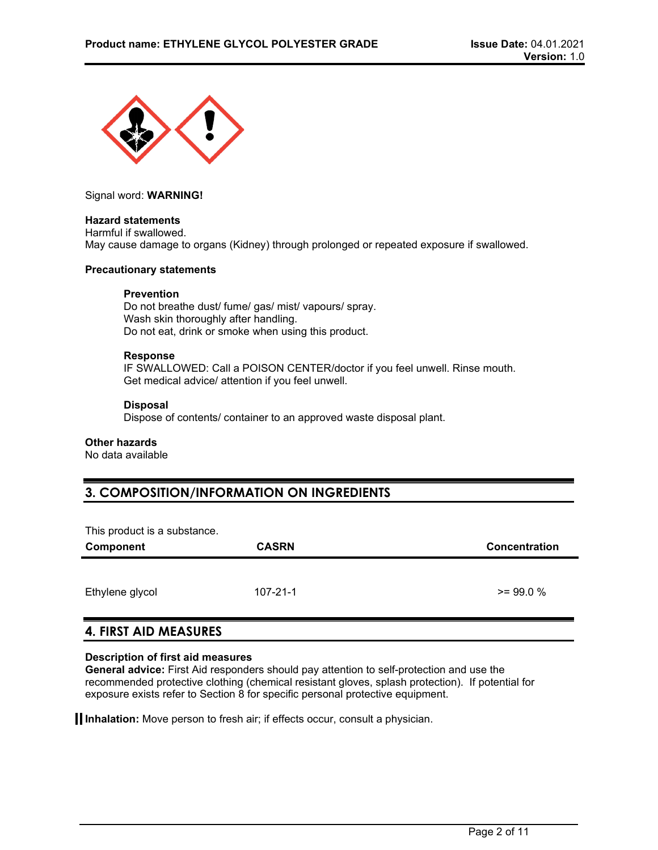

Signal word: **WARNING!**

### **Hazard statements**

Harmful if swallowed. May cause damage to organs (Kidney) through prolonged or repeated exposure if swallowed.

#### **Precautionary statements**

### **Prevention**

Do not breathe dust/ fume/ gas/ mist/ vapours/ spray. Wash skin thoroughly after handling. Do not eat, drink or smoke when using this product.

#### **Response**

IF SWALLOWED: Call a POISON CENTER/doctor if you feel unwell. Rinse mouth. Get medical advice/ attention if you feel unwell.

### **Disposal**

Dispose of contents/ container to an approved waste disposal plant.

## **Other hazards**

No data available

# **3. COMPOSITION/INFORMATION ON INGREDIENTS**

| This product is a substance.<br><b>Component</b> | <b>CASRN</b>   | <b>Concentration</b> |
|--------------------------------------------------|----------------|----------------------|
| Ethylene glycol                                  | $107 - 21 - 1$ | $>= 99.0 %$          |

## **4. FIRST AID MEASURES**

## **Description of first aid measures**

**General advice:** First Aid responders should pay attention to self-protection and use the recommended protective clothing (chemical resistant gloves, splash protection). If potential for exposure exists refer to Section 8 for specific personal protective equipment.

**Inhalation:** Move person to fresh air; if effects occur, consult a physician.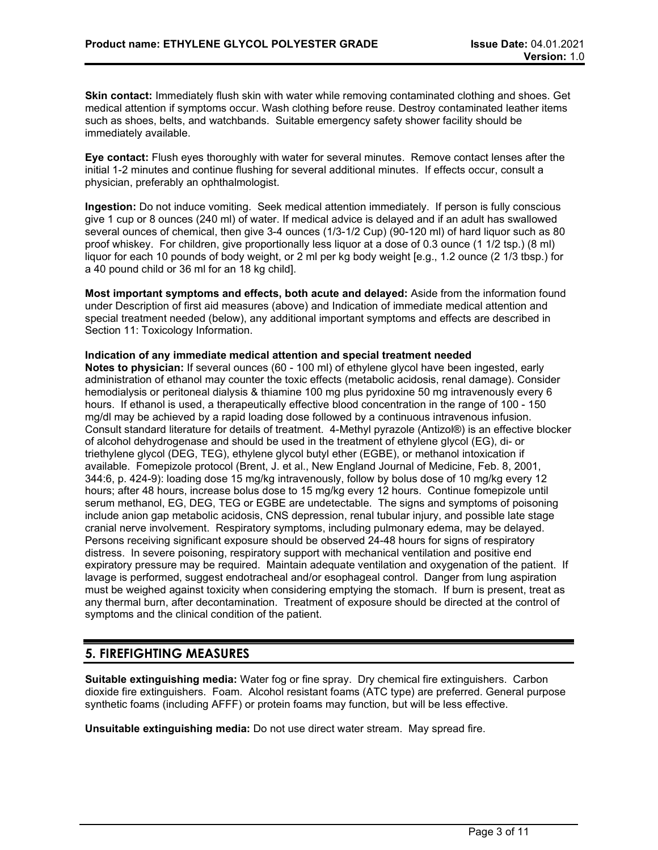**Skin contact:** Immediately flush skin with water while removing contaminated clothing and shoes. Get medical attention if symptoms occur. Wash clothing before reuse. Destroy contaminated leather items such as shoes, belts, and watchbands. Suitable emergency safety shower facility should be immediately available.

**Eye contact:** Flush eyes thoroughly with water for several minutes. Remove contact lenses after the initial 1-2 minutes and continue flushing for several additional minutes. If effects occur, consult a physician, preferably an ophthalmologist.

**Ingestion:** Do not induce vomiting. Seek medical attention immediately. If person is fully conscious give 1 cup or 8 ounces (240 ml) of water. If medical advice is delayed and if an adult has swallowed several ounces of chemical, then give 3-4 ounces (1/3-1/2 Cup) (90-120 ml) of hard liquor such as 80 proof whiskey. For children, give proportionally less liquor at a dose of 0.3 ounce (1 1/2 tsp.) (8 ml) liquor for each 10 pounds of body weight, or 2 ml per kg body weight [e.g., 1.2 ounce (2 1/3 tbsp.) for a 40 pound child or 36 ml for an 18 kg child].

**Most important symptoms and effects, both acute and delayed:** Aside from the information found under Description of first aid measures (above) and Indication of immediate medical attention and special treatment needed (below), any additional important symptoms and effects are described in Section 11: Toxicology Information.

### **Indication of any immediate medical attention and special treatment needed**

**Notes to physician:** If several ounces (60 - 100 ml) of ethylene glycol have been ingested, early administration of ethanol may counter the toxic effects (metabolic acidosis, renal damage). Consider hemodialysis or peritoneal dialysis & thiamine 100 mg plus pyridoxine 50 mg intravenously every 6 hours. If ethanol is used, a therapeutically effective blood concentration in the range of 100 - 150 mg/dl may be achieved by a rapid loading dose followed by a continuous intravenous infusion. Consult standard literature for details of treatment. 4-Methyl pyrazole (Antizol®) is an effective blocker of alcohol dehydrogenase and should be used in the treatment of ethylene glycol (EG), di- or triethylene glycol (DEG, TEG), ethylene glycol butyl ether (EGBE), or methanol intoxication if available. Fomepizole protocol (Brent, J. et al., New England Journal of Medicine, Feb. 8, 2001, 344:6, p. 424-9): loading dose 15 mg/kg intravenously, follow by bolus dose of 10 mg/kg every 12 hours; after 48 hours, increase bolus dose to 15 mg/kg every 12 hours. Continue fomepizole until serum methanol, EG, DEG, TEG or EGBE are undetectable. The signs and symptoms of poisoning include anion gap metabolic acidosis, CNS depression, renal tubular injury, and possible late stage cranial nerve involvement. Respiratory symptoms, including pulmonary edema, may be delayed. Persons receiving significant exposure should be observed 24-48 hours for signs of respiratory distress. In severe poisoning, respiratory support with mechanical ventilation and positive end expiratory pressure may be required. Maintain adequate ventilation and oxygenation of the patient. If lavage is performed, suggest endotracheal and/or esophageal control. Danger from lung aspiration must be weighed against toxicity when considering emptying the stomach. If burn is present, treat as any thermal burn, after decontamination. Treatment of exposure should be directed at the control of symptoms and the clinical condition of the patient.

## **5. FIREFIGHTING MEASURES**

**Suitable extinguishing media:** Water fog or fine spray. Dry chemical fire extinguishers. Carbon dioxide fire extinguishers. Foam. Alcohol resistant foams (ATC type) are preferred. General purpose synthetic foams (including AFFF) or protein foams may function, but will be less effective.

**Unsuitable extinguishing media:** Do not use direct water stream. May spread fire.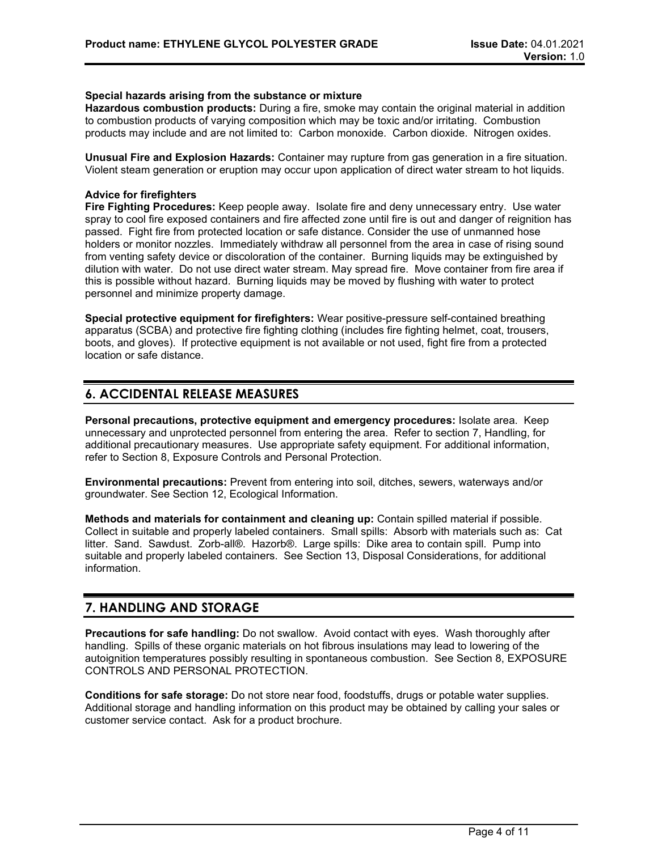## **Special hazards arising from the substance or mixture**

**Hazardous combustion products:** During a fire, smoke may contain the original material in addition to combustion products of varying composition which may be toxic and/or irritating. Combustion products may include and are not limited to: Carbon monoxide. Carbon dioxide. Nitrogen oxides.

**Unusual Fire and Explosion Hazards:** Container may rupture from gas generation in a fire situation. Violent steam generation or eruption may occur upon application of direct water stream to hot liquids.

## **Advice for firefighters**

**Fire Fighting Procedures:** Keep people away. Isolate fire and deny unnecessary entry. Use water spray to cool fire exposed containers and fire affected zone until fire is out and danger of reignition has passed. Fight fire from protected location or safe distance. Consider the use of unmanned hose holders or monitor nozzles. Immediately withdraw all personnel from the area in case of rising sound from venting safety device or discoloration of the container. Burning liquids may be extinguished by dilution with water. Do not use direct water stream. May spread fire. Move container from fire area if this is possible without hazard. Burning liquids may be moved by flushing with water to protect personnel and minimize property damage.

**Special protective equipment for firefighters:** Wear positive-pressure self-contained breathing apparatus (SCBA) and protective fire fighting clothing (includes fire fighting helmet, coat, trousers, boots, and gloves). If protective equipment is not available or not used, fight fire from a protected location or safe distance.

# **6. ACCIDENTAL RELEASE MEASURES**

**Personal precautions, protective equipment and emergency procedures:** Isolate area. Keep unnecessary and unprotected personnel from entering the area. Refer to section 7, Handling, for additional precautionary measures. Use appropriate safety equipment. For additional information, refer to Section 8, Exposure Controls and Personal Protection.

**Environmental precautions:** Prevent from entering into soil, ditches, sewers, waterways and/or groundwater. See Section 12, Ecological Information.

**Methods and materials for containment and cleaning up:** Contain spilled material if possible. Collect in suitable and properly labeled containers. Small spills: Absorb with materials such as: Cat litter. Sand. Sawdust. Zorb-all®. Hazorb®. Large spills: Dike area to contain spill. Pump into suitable and properly labeled containers. See Section 13, Disposal Considerations, for additional information.

## **7. HANDLING AND STORAGE**

**Precautions for safe handling:** Do not swallow. Avoid contact with eyes. Wash thoroughly after handling. Spills of these organic materials on hot fibrous insulations may lead to lowering of the autoignition temperatures possibly resulting in spontaneous combustion. See Section 8, EXPOSURE CONTROLS AND PERSONAL PROTECTION.

**Conditions for safe storage:** Do not store near food, foodstuffs, drugs or potable water supplies. Additional storage and handling information on this product may be obtained by calling your sales or customer service contact. Ask for a product brochure.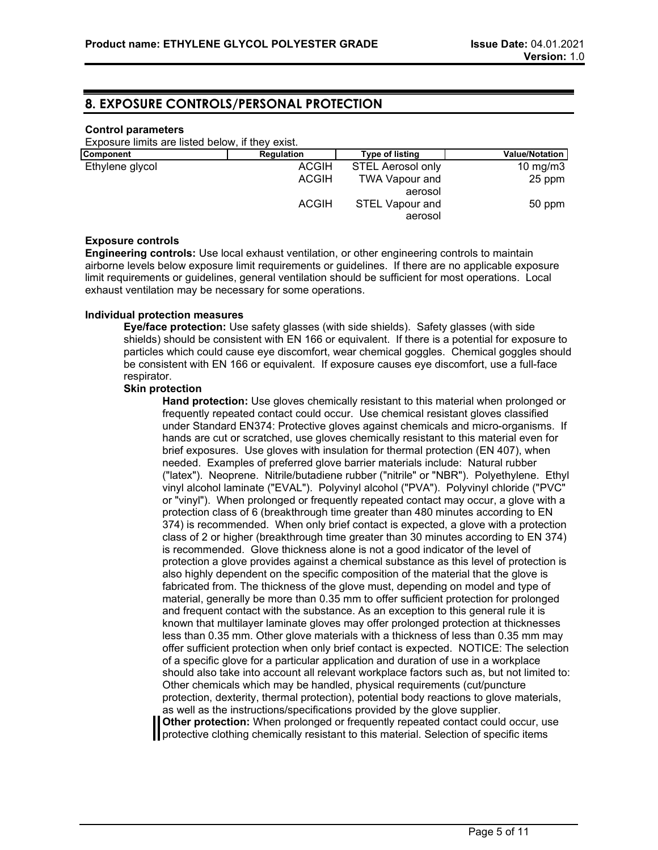## **8. EXPOSURE CONTROLS/PERSONAL PROTECTION**

#### **Control parameters**

Exposure limits are listed below, if they exist.

| <b>Regulation</b> | <b>Type of listing</b>   | <b>Value/Notation</b> |
|-------------------|--------------------------|-----------------------|
| ACGIH             | <b>STEL Aerosol only</b> | 10 mg/m $3$           |
| <b>ACGIH</b>      | <b>TWA Vapour and</b>    | 25 ppm                |
|                   | aerosol                  |                       |
| <b>ACGIH</b>      | <b>STEL Vapour and</b>   | 50 ppm                |
|                   |                          | aerosol               |

## **Exposure controls**

**Engineering controls:** Use local exhaust ventilation, or other engineering controls to maintain airborne levels below exposure limit requirements or guidelines. If there are no applicable exposure limit requirements or guidelines, general ventilation should be sufficient for most operations. Local exhaust ventilation may be necessary for some operations.

### **Individual protection measures**

**Eye/face protection:** Use safety glasses (with side shields). Safety glasses (with side shields) should be consistent with EN 166 or equivalent. If there is a potential for exposure to particles which could cause eye discomfort, wear chemical goggles. Chemical goggles should be consistent with EN 166 or equivalent. If exposure causes eye discomfort, use a full-face respirator.

#### **Skin protection**

**Hand protection:** Use gloves chemically resistant to this material when prolonged or frequently repeated contact could occur. Use chemical resistant gloves classified under Standard EN374: Protective gloves against chemicals and micro-organisms. If hands are cut or scratched, use gloves chemically resistant to this material even for brief exposures. Use gloves with insulation for thermal protection (EN 407), when needed. Examples of preferred glove barrier materials include: Natural rubber ("latex"). Neoprene. Nitrile/butadiene rubber ("nitrile" or "NBR"). Polyethylene. Ethyl vinyl alcohol laminate ("EVAL"). Polyvinyl alcohol ("PVA"). Polyvinyl chloride ("PVC" or "vinyl"). When prolonged or frequently repeated contact may occur, a glove with a protection class of 6 (breakthrough time greater than 480 minutes according to EN 374) is recommended. When only brief contact is expected, a glove with a protection class of 2 or higher (breakthrough time greater than 30 minutes according to EN 374) is recommended. Glove thickness alone is not a good indicator of the level of protection a glove provides against a chemical substance as this level of protection is also highly dependent on the specific composition of the material that the glove is fabricated from. The thickness of the glove must, depending on model and type of material, generally be more than 0.35 mm to offer sufficient protection for prolonged and frequent contact with the substance. As an exception to this general rule it is known that multilayer laminate gloves may offer prolonged protection at thicknesses less than 0.35 mm. Other glove materials with a thickness of less than 0.35 mm may offer sufficient protection when only brief contact is expected. NOTICE: The selection of a specific glove for a particular application and duration of use in a workplace should also take into account all relevant workplace factors such as, but not limited to: Other chemicals which may be handled, physical requirements (cut/puncture protection, dexterity, thermal protection), potential body reactions to glove materials, as well as the instructions/specifications provided by the glove supplier.

**Other protection:** When prolonged or frequently repeated contact could occur, use **I** protective clothing chemically resistant to this material. Selection of specific items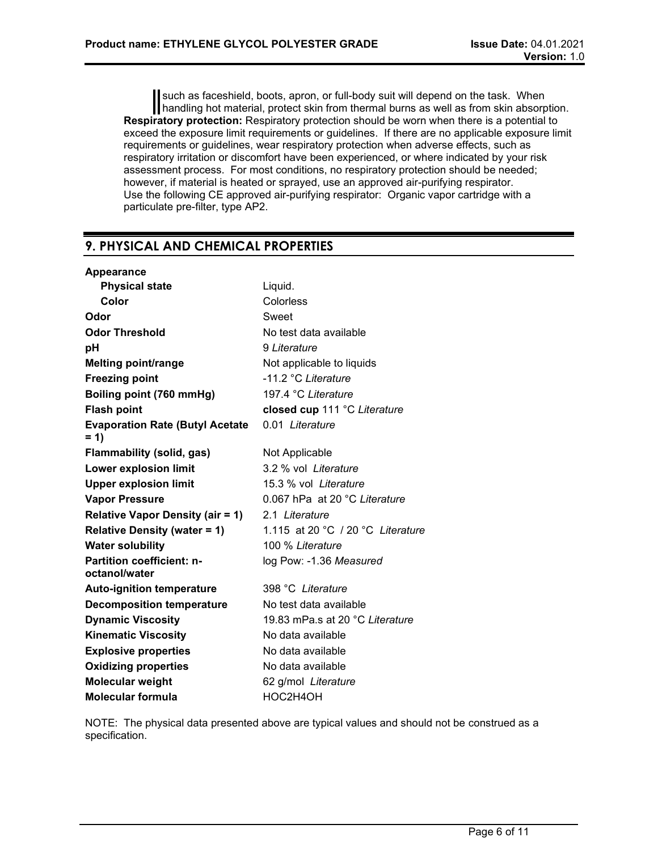such as faceshield, boots, apron, or full-body suit will depend on the task. When handling hot material, protect skin from thermal burns as well as from skin absorption. **Respiratory protection:** Respiratory protection should be worn when there is a potential to exceed the exposure limit requirements or guidelines. If there are no applicable exposure limit requirements or guidelines, wear respiratory protection when adverse effects, such as respiratory irritation or discomfort have been experienced, or where indicated by your risk assessment process. For most conditions, no respiratory protection should be needed; however, if material is heated or sprayed, use an approved air-purifying respirator. Use the following CE approved air-purifying respirator: Organic vapor cartridge with a particulate pre-filter, type AP2.

# **9. PHYSICAL AND CHEMICAL PROPERTIES**

| Liquid.                           |
|-----------------------------------|
| Colorless                         |
| Sweet                             |
| No test data available            |
| 9 Literature                      |
| Not applicable to liquids         |
| -11.2 °C Literature               |
| 197.4 °C Literature               |
| closed cup 111 °C Literature      |
| 0.01 Literature                   |
| Not Applicable                    |
| 3.2 % vol Literature              |
| 15.3 % vol Literature             |
| 0.067 hPa at 20 °C Literature     |
| 2.1 Literature                    |
| 1.115 at 20 °C / 20 °C Literature |
| 100 % Literature                  |
| log Pow: -1.36 Measured           |
| 398 °C Literature                 |
| No test data available            |
| 19.83 mPa.s at 20 °C Literature   |
| No data available                 |
| No data available                 |
| No data available                 |
| 62 g/mol Literature               |
| HOC2H4OH                          |
|                                   |

NOTE: The physical data presented above are typical values and should not be construed as a specification.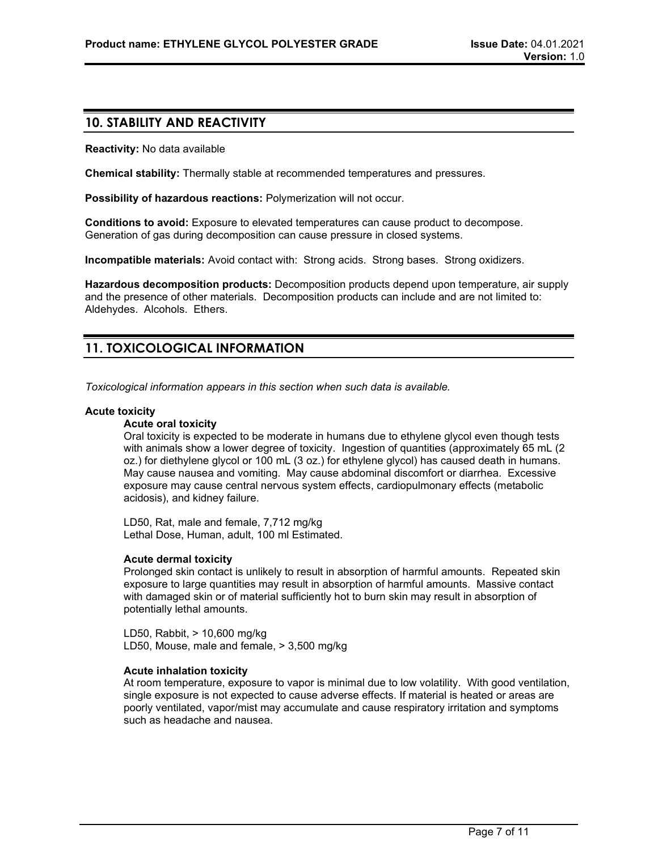## **10. STABILITY AND REACTIVITY**

**Reactivity:** No data available

**Chemical stability:** Thermally stable at recommended temperatures and pressures.

**Possibility of hazardous reactions:** Polymerization will not occur.

**Conditions to avoid:** Exposure to elevated temperatures can cause product to decompose. Generation of gas during decomposition can cause pressure in closed systems.

**Incompatible materials:** Avoid contact with: Strong acids. Strong bases. Strong oxidizers.

**Hazardous decomposition products:** Decomposition products depend upon temperature, air supply and the presence of other materials. Decomposition products can include and are not limited to: Aldehydes. Alcohols. Ethers.

# **11. TOXICOLOGICAL INFORMATION**

*Toxicological information appears in this section when such data is available.*

### **Acute toxicity**

#### **Acute oral toxicity**

Oral toxicity is expected to be moderate in humans due to ethylene glycol even though tests with animals show a lower degree of toxicity. Ingestion of quantities (approximately 65 mL (2 oz.) for diethylene glycol or 100 mL (3 oz.) for ethylene glycol) has caused death in humans. May cause nausea and vomiting. May cause abdominal discomfort or diarrhea. Excessive exposure may cause central nervous system effects, cardiopulmonary effects (metabolic acidosis), and kidney failure.

LD50, Rat, male and female, 7,712 mg/kg Lethal Dose, Human, adult, 100 ml Estimated.

#### **Acute dermal toxicity**

Prolonged skin contact is unlikely to result in absorption of harmful amounts. Repeated skin exposure to large quantities may result in absorption of harmful amounts. Massive contact with damaged skin or of material sufficiently hot to burn skin may result in absorption of potentially lethal amounts.

LD50, Rabbit, > 10,600 mg/kg LD50, Mouse, male and female, > 3,500 mg/kg

#### **Acute inhalation toxicity**

At room temperature, exposure to vapor is minimal due to low volatility. With good ventilation, single exposure is not expected to cause adverse effects. If material is heated or areas are poorly ventilated, vapor/mist may accumulate and cause respiratory irritation and symptoms such as headache and nausea.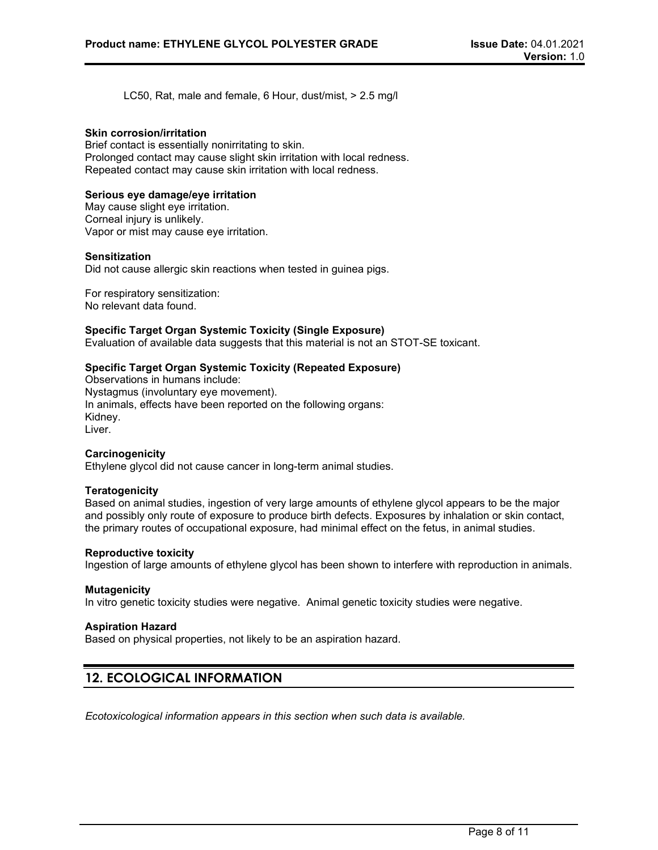LC50, Rat, male and female, 6 Hour, dust/mist, > 2.5 mg/l

### **Skin corrosion/irritation**

Brief contact is essentially nonirritating to skin. Prolonged contact may cause slight skin irritation with local redness. Repeated contact may cause skin irritation with local redness.

## **Serious eye damage/eye irritation**

May cause slight eye irritation. Corneal injury is unlikely. Vapor or mist may cause eye irritation.

### **Sensitization**

Did not cause allergic skin reactions when tested in guinea pigs.

For respiratory sensitization: No relevant data found.

### **Specific Target Organ Systemic Toxicity (Single Exposure)**

Evaluation of available data suggests that this material is not an STOT-SE toxicant.

### **Specific Target Organ Systemic Toxicity (Repeated Exposure)**

Observations in humans include: Nystagmus (involuntary eye movement). In animals, effects have been reported on the following organs: Kidney. Liver.

#### **Carcinogenicity**

Ethylene glycol did not cause cancer in long-term animal studies.

#### **Teratogenicity**

Based on animal studies, ingestion of very large amounts of ethylene glycol appears to be the major and possibly only route of exposure to produce birth defects. Exposures by inhalation or skin contact, the primary routes of occupational exposure, had minimal effect on the fetus, in animal studies.

#### **Reproductive toxicity**

Ingestion of large amounts of ethylene glycol has been shown to interfere with reproduction in animals.

### **Mutagenicity**

In vitro genetic toxicity studies were negative. Animal genetic toxicity studies were negative.

#### **Aspiration Hazard**

Based on physical properties, not likely to be an aspiration hazard.

## **12. ECOLOGICAL INFORMATION**

*Ecotoxicological information appears in this section when such data is available.*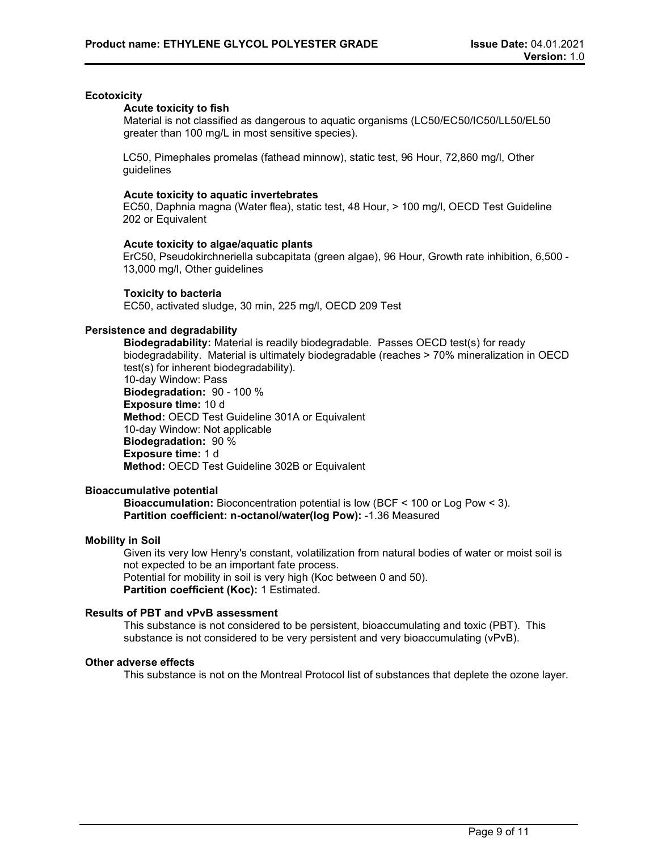### **Ecotoxicity**

#### **Acute toxicity to fish**

Material is not classified as dangerous to aquatic organisms (LC50/EC50/IC50/LL50/EL50 greater than 100 mg/L in most sensitive species).

LC50, Pimephales promelas (fathead minnow), static test, 96 Hour, 72,860 mg/l, Other guidelines

#### **Acute toxicity to aquatic invertebrates**

EC50, Daphnia magna (Water flea), static test, 48 Hour, > 100 mg/l, OECD Test Guideline 202 or Equivalent

### **Acute toxicity to algae/aquatic plants**

ErC50, Pseudokirchneriella subcapitata (green algae), 96 Hour, Growth rate inhibition, 6,500 - 13,000 mg/l, Other guidelines

### **Toxicity to bacteria**

EC50, activated sludge, 30 min, 225 mg/l, OECD 209 Test

## **Persistence and degradability**

**Biodegradability:** Material is readily biodegradable. Passes OECD test(s) for ready biodegradability. Material is ultimately biodegradable (reaches > 70% mineralization in OECD test(s) for inherent biodegradability). 10-day Window: Pass

**Biodegradation:** 90 - 100 % **Exposure time:** 10 d **Method:** OECD Test Guideline 301A or Equivalent 10-day Window: Not applicable **Biodegradation:** 90 % **Exposure time:** 1 d **Method:** OECD Test Guideline 302B or Equivalent

## **Bioaccumulative potential**

**Bioaccumulation:** Bioconcentration potential is low (BCF < 100 or Log Pow < 3). **Partition coefficient: n-octanol/water(log Pow):** -1.36 Measured

#### **Mobility in Soil**

Given its very low Henry's constant, volatilization from natural bodies of water or moist soil is not expected to be an important fate process. Potential for mobility in soil is very high (Koc between 0 and 50). **Partition coefficient (Koc):** 1 Estimated.

## **Results of PBT and vPvB assessment**

This substance is not considered to be persistent, bioaccumulating and toxic (PBT). This substance is not considered to be very persistent and very bioaccumulating (vPvB).

#### **Other adverse effects**

This substance is not on the Montreal Protocol list of substances that deplete the ozone layer.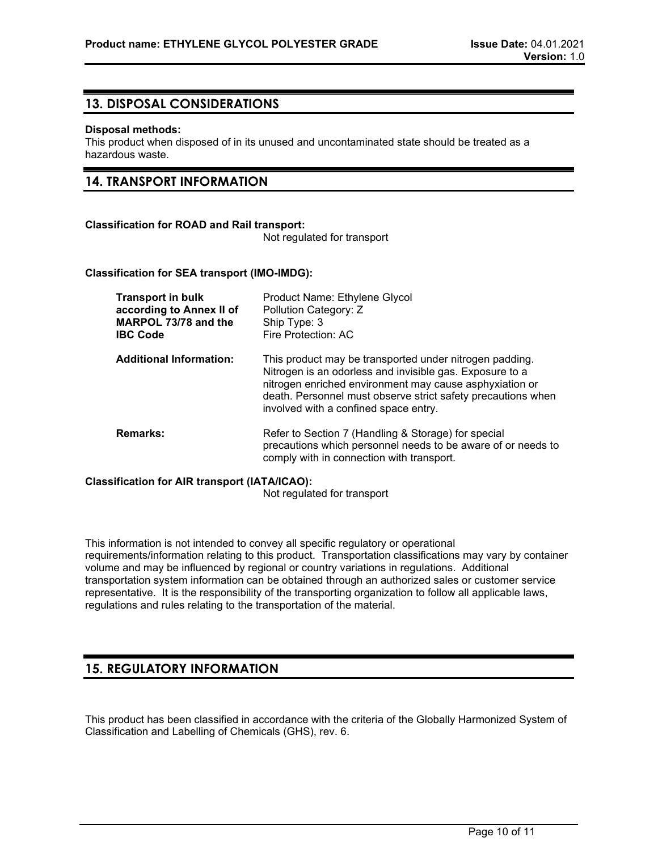## **13. DISPOSAL CONSIDERATIONS**

#### **Disposal methods:**

This product when disposed of in its unused and uncontaminated state should be treated as a hazardous waste.

## **14. TRANSPORT INFORMATION**

### **Classification for ROAD and Rail transport:**

Not regulated for transport

### **Classification for SEA transport (IMO-IMDG):**

| <b>Transport in bulk</b><br>according to Annex II of<br>MARPOL 73/78 and the<br><b>IBC Code</b> | Product Name: Ethylene Glycol<br>Pollution Category: Z<br>Ship Type: 3<br>Fire Protection: AC                                                                                                                                                                                           |
|-------------------------------------------------------------------------------------------------|-----------------------------------------------------------------------------------------------------------------------------------------------------------------------------------------------------------------------------------------------------------------------------------------|
| <b>Additional Information:</b>                                                                  | This product may be transported under nitrogen padding.<br>Nitrogen is an odorless and invisible gas. Exposure to a<br>nitrogen enriched environment may cause asphyxiation or<br>death. Personnel must observe strict safety precautions when<br>involved with a confined space entry. |
| <b>Remarks:</b>                                                                                 | Refer to Section 7 (Handling & Storage) for special<br>precautions which personnel needs to be aware of or needs to<br>comply with in connection with transport.                                                                                                                        |

#### **Classification for AIR transport (IATA/ICAO):**

Not regulated for transport

This information is not intended to convey all specific regulatory or operational requirements/information relating to this product. Transportation classifications may vary by container volume and may be influenced by regional or country variations in regulations. Additional transportation system information can be obtained through an authorized sales or customer service representative. It is the responsibility of the transporting organization to follow all applicable laws, regulations and rules relating to the transportation of the material.

# **15. REGULATORY INFORMATION**

This product has been classified in accordance with the criteria of the Globally Harmonized System of Classification and Labelling of Chemicals (GHS), rev. 6.